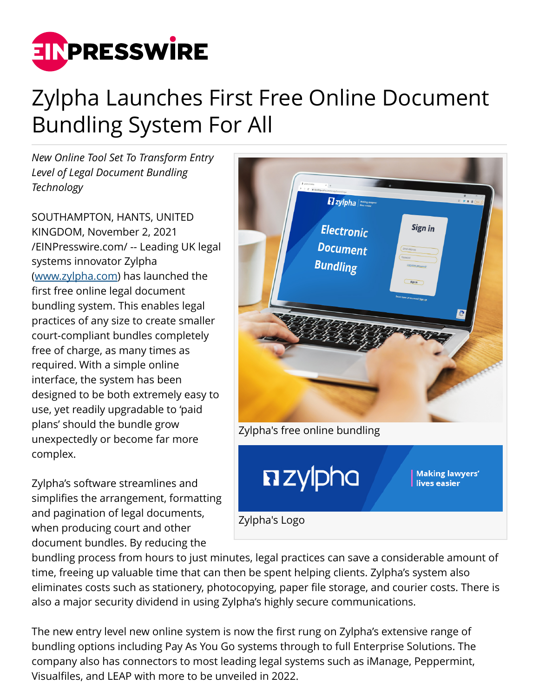

## Zylpha Launches First Free Online Document Bundling System For All

*New Online Tool Set To Transform Entry Level of Legal Document Bundling Technology*

SOUTHAMPTON, HANTS, UNITED KINGDOM, November 2, 2021 [/EINPresswire.com/](http://www.einpresswire.com) -- Leading UK legal systems innovator Zylpha ([www.zylpha.com\)](http://www.zylpha.com) has launched the first free online legal document bundling system. This enables legal practices of any size to create smaller court-compliant bundles completely free of charge, as many times as required. With a simple online interface, the system has been designed to be both extremely easy to use, yet readily upgradable to 'paid plans' should the bundle grow unexpectedly or become far more complex.

Zylpha's software streamlines and simplifies the arrangement, formatting and pagination of legal documents, when producing court and other document bundles. By reducing the



bundling process from hours to just minutes, legal practices can save a considerable amount of time, freeing up valuable time that can then be spent helping clients. Zylpha's system also eliminates costs such as stationery, photocopying, paper file storage, and courier costs. There is also a major security dividend in using Zylpha's highly secure communications.

The new entry level new online system is now the first rung on Zylpha's extensive range of bundling options including Pay As You Go systems through to full Enterprise Solutions. The company also has connectors to most leading legal systems such as iManage, Peppermint, Visualfiles, and LEAP with more to be unveiled in 2022.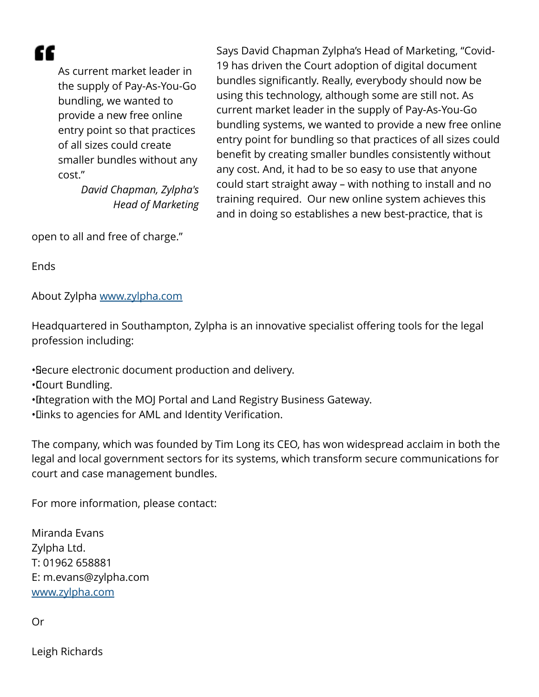æ

As current market leader in the supply of Pay-As-You-Go bundling, we wanted to provide a new free online entry point so that practices of all sizes could create smaller bundles without any cost."

> *David Chapman, Zylpha's Head of Marketing*

Says David Chapman Zylpha's Head of Marketing, "Covid-19 has driven the Court adoption of digital document bundles significantly. Really, everybody should now be using this technology, although some are still not. As current market leader in the supply of Pay-As-You-Go bundling systems, we wanted to provide a new free online entry point for bundling so that practices of all sizes could benefit by creating smaller bundles consistently without any cost. And, it had to be so easy to use that anyone could start straight away – with nothing to install and no training required. Our new online system achieves this and in doing so establishes a new best-practice, that is

open to all and free of charge."

**Ends** 

About Zylpha [www.zylpha.com](http://www.zylpha.com)

Headquartered in Southampton, Zylpha is an innovative specialist offering tools for the legal profession including:

• Secure electronic document production and delivery.

• Court Bundling.

- • Integration with the MOJ Portal and Land Registry Business Gateway.
- • Links to agencies for AML and Identity Verification.

The company, which was founded by Tim Long its CEO, has won widespread acclaim in both the legal and local government sectors for its systems, which transform secure communications for court and case management bundles.

For more information, please contact:

Miranda Evans Zylpha Ltd. T: 01962 658881 E: m.evans@zylpha.com [www.zylpha.com](http://www.zylpha.com)

Or

Leigh Richards